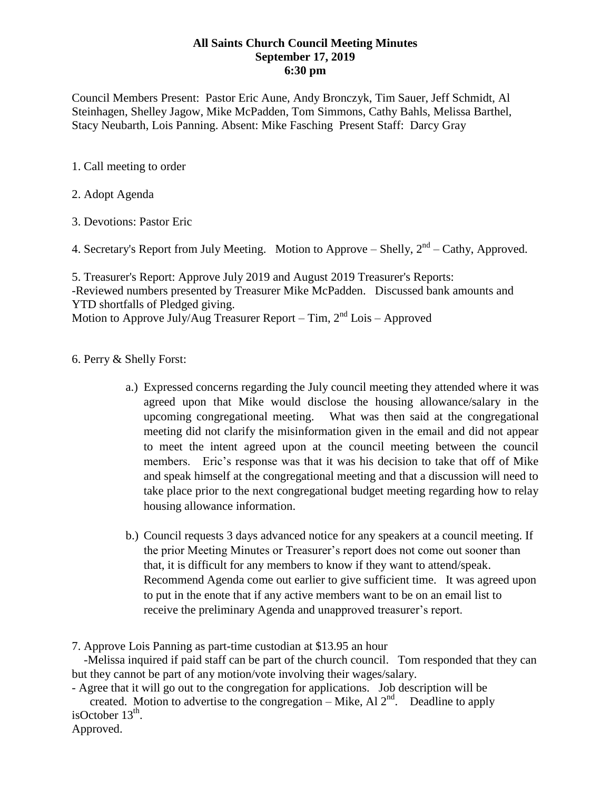## **All Saints Church Council Meeting Minutes September 17, 2019 6:30 pm**

Council Members Present: Pastor Eric Aune, Andy Bronczyk, Tim Sauer, Jeff Schmidt, Al Steinhagen, Shelley Jagow, Mike McPadden, Tom Simmons, Cathy Bahls, Melissa Barthel, Stacy Neubarth, Lois Panning. Absent: Mike Fasching Present Staff: Darcy Gray

- 1. Call meeting to order
- 2. Adopt Agenda
- 3. Devotions: Pastor Eric

4. Secretary's Report from July Meeting. Motion to Approve – Shelly,  $2<sup>nd</sup>$  – Cathy, Approved.

5. Treasurer's Report: Approve July 2019 and August 2019 Treasurer's Reports: -Reviewed numbers presented by Treasurer Mike McPadden. Discussed bank amounts and YTD shortfalls of Pledged giving. Motion to Approve July/Aug Treasurer Report – Tim, 2<sup>nd</sup> Lois – Approved

- 6. Perry & Shelly Forst:
	- a.) Expressed concerns regarding the July council meeting they attended where it was agreed upon that Mike would disclose the housing allowance/salary in the upcoming congregational meeting. What was then said at the congregational meeting did not clarify the misinformation given in the email and did not appear to meet the intent agreed upon at the council meeting between the council members. Eric's response was that it was his decision to take that off of Mike and speak himself at the congregational meeting and that a discussion will need to take place prior to the next congregational budget meeting regarding how to relay housing allowance information.
	- b.) Council requests 3 days advanced notice for any speakers at a council meeting. If the prior Meeting Minutes or Treasurer's report does not come out sooner than that, it is difficult for any members to know if they want to attend/speak. Recommend Agenda come out earlier to give sufficient time. It was agreed upon to put in the enote that if any active members want to be on an email list to receive the preliminary Agenda and unapproved treasurer's report.

7. Approve Lois Panning as part-time custodian at \$13.95 an hour

 -Melissa inquired if paid staff can be part of the church council. Tom responded that they can but they cannot be part of any motion/vote involving their wages/salary.

- Agree that it will go out to the congregation for applications. Job description will be created. Motion to advertise to the congregation – Mike, Al  $2<sup>nd</sup>$ . Deadline to apply isOctober  $13<sup>th</sup>$ .

Approved.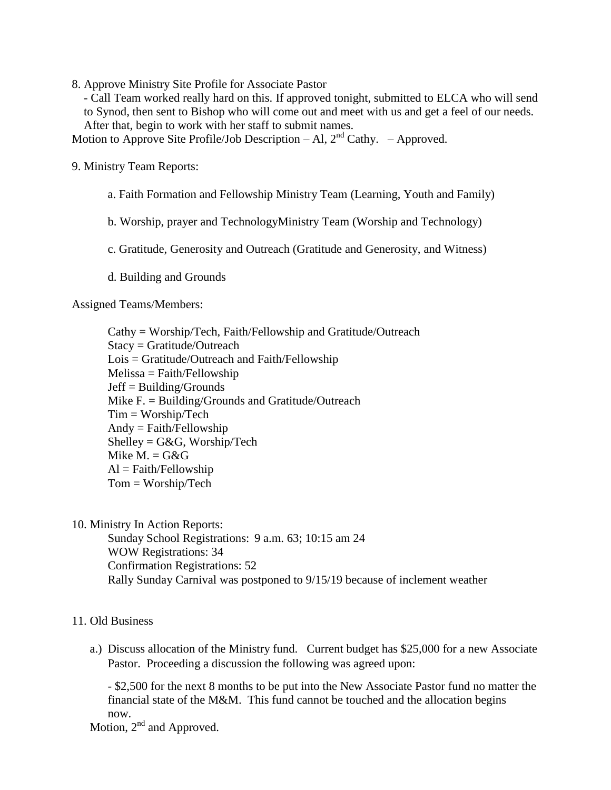8. Approve Ministry Site Profile for Associate Pastor

- Call Team worked really hard on this. If approved tonight, submitted to ELCA who will send to Synod, then sent to Bishop who will come out and meet with us and get a feel of our needs. After that, begin to work with her staff to submit names.

Motion to Approve Site Profile/Job Description – Al,  $2<sup>nd</sup>$  Cathy. – Approved.

9. Ministry Team Reports:

- a. Faith Formation and Fellowship Ministry Team (Learning, Youth and Family)
- b. Worship, prayer and TechnologyMinistry Team (Worship and Technology)
- c. Gratitude, Generosity and Outreach (Gratitude and Generosity, and Witness)
- d. Building and Grounds

Assigned Teams/Members:

Cathy = Worship/Tech, Faith/Fellowship and Gratitude/Outreach Stacy = Gratitude/Outreach Lois = Gratitude/Outreach and Faith/Fellowship  $Melissa = Faith/Fellowship$ Jeff = Building/Grounds Mike F. = Building/Grounds and Gratitude/Outreach Tim = Worship/Tech Andy = Faith/Fellowship  $Shelley = G&G, Worship/Techn$ Mike  $M = G \& G$  $Al = Faith/Fellowship$ Tom = Worship/Tech

10. Ministry In Action Reports:

Sunday School Registrations: 9 a.m. 63; 10:15 am 24 WOW Registrations: 34 Confirmation Registrations: 52 Rally Sunday Carnival was postponed to 9/15/19 because of inclement weather

## 11. Old Business

a.) Discuss allocation of the Ministry fund. Current budget has \$25,000 for a new Associate Pastor. Proceeding a discussion the following was agreed upon:

- \$2,500 for the next 8 months to be put into the New Associate Pastor fund no matter the financial state of the M&M. This fund cannot be touched and the allocation begins now.

Motion,  $2<sup>nd</sup>$  and Approved.